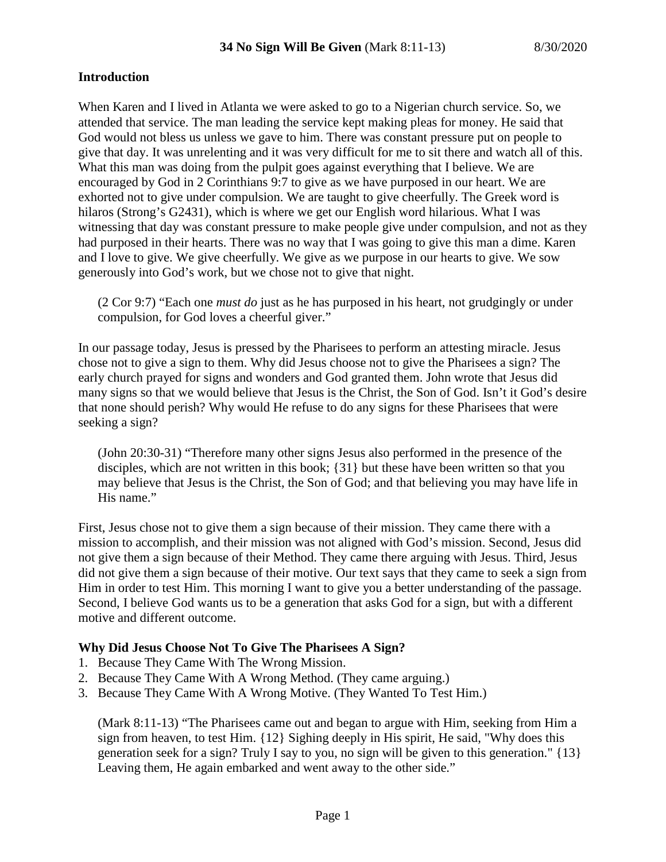#### **Introduction**

When Karen and I lived in Atlanta we were asked to go to a Nigerian church service. So, we attended that service. The man leading the service kept making pleas for money. He said that God would not bless us unless we gave to him. There was constant pressure put on people to give that day. It was unrelenting and it was very difficult for me to sit there and watch all of this. What this man was doing from the pulpit goes against everything that I believe. We are encouraged by God in 2 Corinthians 9:7 to give as we have purposed in our heart. We are exhorted not to give under compulsion. We are taught to give cheerfully. The Greek word is hilaros (Strong's G2431), which is where we get our English word hilarious. What I was witnessing that day was constant pressure to make people give under compulsion, and not as they had purposed in their hearts. There was no way that I was going to give this man a dime. Karen and I love to give. We give cheerfully. We give as we purpose in our hearts to give. We sow generously into God's work, but we chose not to give that night.

(2 Cor 9:7) "Each one *must do* just as he has purposed in his heart, not grudgingly or under compulsion, for God loves a cheerful giver."

In our passage today, Jesus is pressed by the Pharisees to perform an attesting miracle. Jesus chose not to give a sign to them. Why did Jesus choose not to give the Pharisees a sign? The early church prayed for signs and wonders and God granted them. John wrote that Jesus did many signs so that we would believe that Jesus is the Christ, the Son of God. Isn't it God's desire that none should perish? Why would He refuse to do any signs for these Pharisees that were seeking a sign?

(John 20:30-31) "Therefore many other signs Jesus also performed in the presence of the disciples, which are not written in this book; {31} but these have been written so that you may believe that Jesus is the Christ, the Son of God; and that believing you may have life in His name."

First, Jesus chose not to give them a sign because of their mission. They came there with a mission to accomplish, and their mission was not aligned with God's mission. Second, Jesus did not give them a sign because of their Method. They came there arguing with Jesus. Third, Jesus did not give them a sign because of their motive. Our text says that they came to seek a sign from Him in order to test Him. This morning I want to give you a better understanding of the passage. Second, I believe God wants us to be a generation that asks God for a sign, but with a different motive and different outcome.

#### **Why Did Jesus Choose Not To Give The Pharisees A Sign?**

- 1. Because They Came With The Wrong Mission.
- 2. Because They Came With A Wrong Method. (They came arguing.)
- 3. Because They Came With A Wrong Motive. (They Wanted To Test Him.)

(Mark 8:11-13) "The Pharisees came out and began to argue with Him, seeking from Him a sign from heaven, to test Him. {12} Sighing deeply in His spirit, He said, "Why does this generation seek for a sign? Truly I say to you, no sign will be given to this generation." {13} Leaving them, He again embarked and went away to the other side."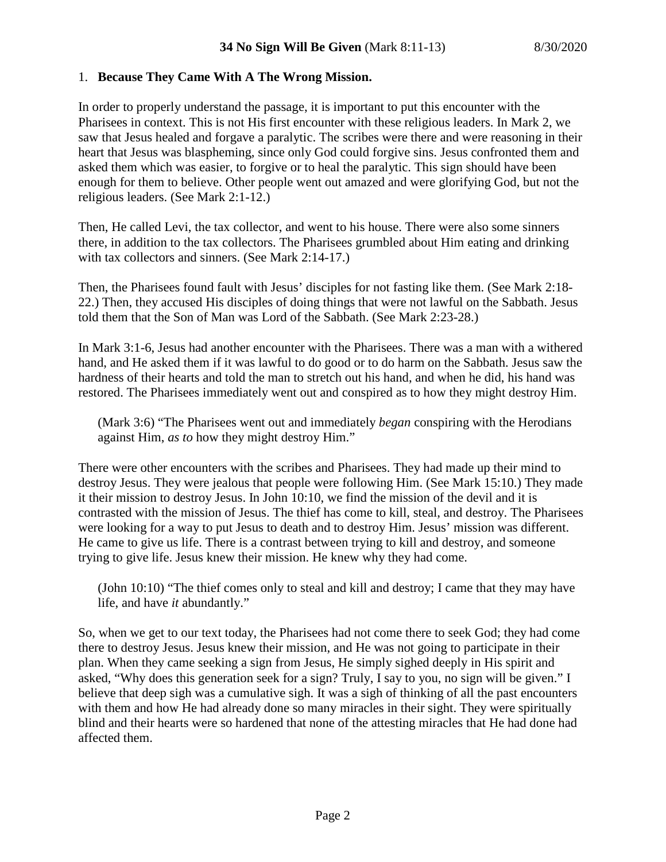## 1. **Because They Came With A The Wrong Mission.**

In order to properly understand the passage, it is important to put this encounter with the Pharisees in context. This is not His first encounter with these religious leaders. In Mark 2, we saw that Jesus healed and forgave a paralytic. The scribes were there and were reasoning in their heart that Jesus was blaspheming, since only God could forgive sins. Jesus confronted them and asked them which was easier, to forgive or to heal the paralytic. This sign should have been enough for them to believe. Other people went out amazed and were glorifying God, but not the religious leaders. (See Mark 2:1-12.)

Then, He called Levi, the tax collector, and went to his house. There were also some sinners there, in addition to the tax collectors. The Pharisees grumbled about Him eating and drinking with tax collectors and sinners. (See Mark 2:14-17.)

Then, the Pharisees found fault with Jesus' disciples for not fasting like them. (See Mark 2:18- 22.) Then, they accused His disciples of doing things that were not lawful on the Sabbath. Jesus told them that the Son of Man was Lord of the Sabbath. (See Mark 2:23-28.)

In Mark 3:1-6, Jesus had another encounter with the Pharisees. There was a man with a withered hand, and He asked them if it was lawful to do good or to do harm on the Sabbath. Jesus saw the hardness of their hearts and told the man to stretch out his hand, and when he did, his hand was restored. The Pharisees immediately went out and conspired as to how they might destroy Him.

(Mark 3:6) "The Pharisees went out and immediately *began* conspiring with the Herodians against Him, *as to* how they might destroy Him."

There were other encounters with the scribes and Pharisees. They had made up their mind to destroy Jesus. They were jealous that people were following Him. (See Mark 15:10.) They made it their mission to destroy Jesus. In John 10:10, we find the mission of the devil and it is contrasted with the mission of Jesus. The thief has come to kill, steal, and destroy. The Pharisees were looking for a way to put Jesus to death and to destroy Him. Jesus' mission was different. He came to give us life. There is a contrast between trying to kill and destroy, and someone trying to give life. Jesus knew their mission. He knew why they had come.

(John 10:10) "The thief comes only to steal and kill and destroy; I came that they may have life, and have *it* abundantly."

So, when we get to our text today, the Pharisees had not come there to seek God; they had come there to destroy Jesus. Jesus knew their mission, and He was not going to participate in their plan. When they came seeking a sign from Jesus, He simply sighed deeply in His spirit and asked, "Why does this generation seek for a sign? Truly, I say to you, no sign will be given." I believe that deep sigh was a cumulative sigh. It was a sigh of thinking of all the past encounters with them and how He had already done so many miracles in their sight. They were spiritually blind and their hearts were so hardened that none of the attesting miracles that He had done had affected them.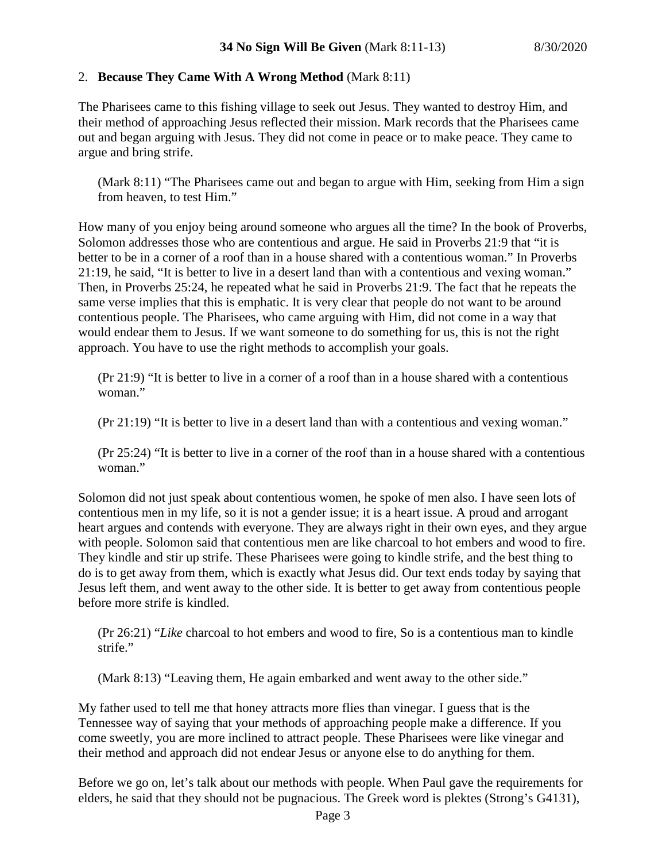### 2. **Because They Came With A Wrong Method** (Mark 8:11)

The Pharisees came to this fishing village to seek out Jesus. They wanted to destroy Him, and their method of approaching Jesus reflected their mission. Mark records that the Pharisees came out and began arguing with Jesus. They did not come in peace or to make peace. They came to argue and bring strife.

(Mark 8:11) "The Pharisees came out and began to argue with Him, seeking from Him a sign from heaven, to test Him."

How many of you enjoy being around someone who argues all the time? In the book of Proverbs, Solomon addresses those who are contentious and argue. He said in Proverbs 21:9 that "it is better to be in a corner of a roof than in a house shared with a contentious woman." In Proverbs 21:19, he said, "It is better to live in a desert land than with a contentious and vexing woman." Then, in Proverbs 25:24, he repeated what he said in Proverbs 21:9. The fact that he repeats the same verse implies that this is emphatic. It is very clear that people do not want to be around contentious people. The Pharisees, who came arguing with Him, did not come in a way that would endear them to Jesus. If we want someone to do something for us, this is not the right approach. You have to use the right methods to accomplish your goals.

(Pr 21:9) "It is better to live in a corner of a roof than in a house shared with a contentious woman."

(Pr 21:19) "It is better to live in a desert land than with a contentious and vexing woman."

(Pr 25:24) "It is better to live in a corner of the roof than in a house shared with a contentious woman."

Solomon did not just speak about contentious women, he spoke of men also. I have seen lots of contentious men in my life, so it is not a gender issue; it is a heart issue. A proud and arrogant heart argues and contends with everyone. They are always right in their own eyes, and they argue with people. Solomon said that contentious men are like charcoal to hot embers and wood to fire. They kindle and stir up strife. These Pharisees were going to kindle strife, and the best thing to do is to get away from them, which is exactly what Jesus did. Our text ends today by saying that Jesus left them, and went away to the other side. It is better to get away from contentious people before more strife is kindled.

(Pr 26:21) "*Like* charcoal to hot embers and wood to fire, So is a contentious man to kindle strife."

(Mark 8:13) "Leaving them, He again embarked and went away to the other side."

My father used to tell me that honey attracts more flies than vinegar. I guess that is the Tennessee way of saying that your methods of approaching people make a difference. If you come sweetly, you are more inclined to attract people. These Pharisees were like vinegar and their method and approach did not endear Jesus or anyone else to do anything for them.

Before we go on, let's talk about our methods with people. When Paul gave the requirements for elders, he said that they should not be pugnacious. The Greek word is plektes (Strong's G4131),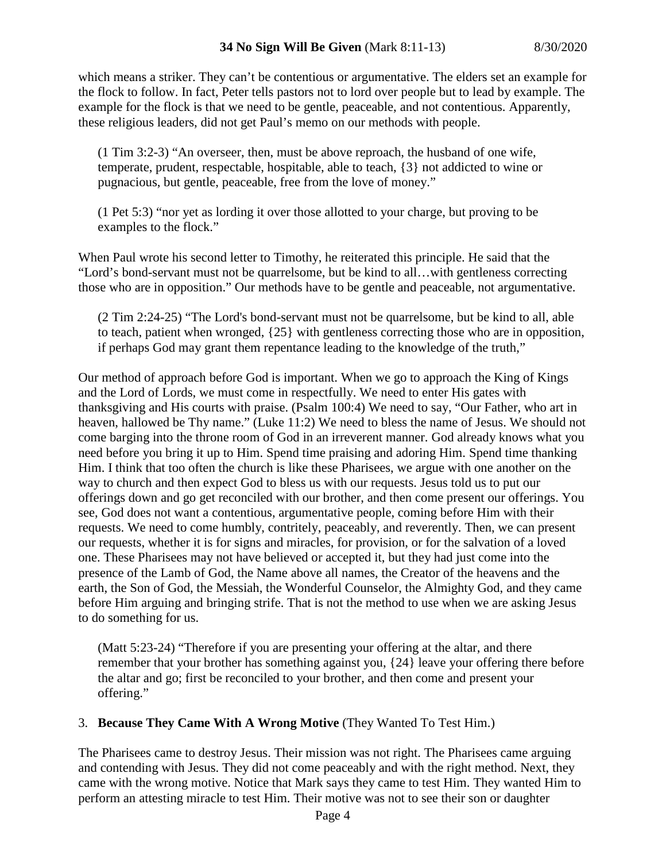which means a striker. They can't be contentious or argumentative. The elders set an example for the flock to follow. In fact, Peter tells pastors not to lord over people but to lead by example. The example for the flock is that we need to be gentle, peaceable, and not contentious. Apparently, these religious leaders, did not get Paul's memo on our methods with people.

(1 Tim 3:2-3) "An overseer, then, must be above reproach, the husband of one wife, temperate, prudent, respectable, hospitable, able to teach, {3} not addicted to wine or pugnacious, but gentle, peaceable, free from the love of money."

(1 Pet 5:3) "nor yet as lording it over those allotted to your charge, but proving to be examples to the flock."

When Paul wrote his second letter to Timothy, he reiterated this principle. He said that the "Lord's bond-servant must not be quarrelsome, but be kind to all…with gentleness correcting those who are in opposition." Our methods have to be gentle and peaceable, not argumentative.

(2 Tim 2:24-25) "The Lord's bond-servant must not be quarrelsome, but be kind to all, able to teach, patient when wronged, {25} with gentleness correcting those who are in opposition, if perhaps God may grant them repentance leading to the knowledge of the truth,"

Our method of approach before God is important. When we go to approach the King of Kings and the Lord of Lords, we must come in respectfully. We need to enter His gates with thanksgiving and His courts with praise. (Psalm 100:4) We need to say, "Our Father, who art in heaven, hallowed be Thy name." (Luke 11:2) We need to bless the name of Jesus. We should not come barging into the throne room of God in an irreverent manner. God already knows what you need before you bring it up to Him. Spend time praising and adoring Him. Spend time thanking Him. I think that too often the church is like these Pharisees, we argue with one another on the way to church and then expect God to bless us with our requests. Jesus told us to put our offerings down and go get reconciled with our brother, and then come present our offerings. You see, God does not want a contentious, argumentative people, coming before Him with their requests. We need to come humbly, contritely, peaceably, and reverently. Then, we can present our requests, whether it is for signs and miracles, for provision, or for the salvation of a loved one. These Pharisees may not have believed or accepted it, but they had just come into the presence of the Lamb of God, the Name above all names, the Creator of the heavens and the earth, the Son of God, the Messiah, the Wonderful Counselor, the Almighty God, and they came before Him arguing and bringing strife. That is not the method to use when we are asking Jesus to do something for us.

(Matt 5:23-24) "Therefore if you are presenting your offering at the altar, and there remember that your brother has something against you, {24} leave your offering there before the altar and go; first be reconciled to your brother, and then come and present your offering."

# 3. **Because They Came With A Wrong Motive** (They Wanted To Test Him.)

The Pharisees came to destroy Jesus. Their mission was not right. The Pharisees came arguing and contending with Jesus. They did not come peaceably and with the right method. Next, they came with the wrong motive. Notice that Mark says they came to test Him. They wanted Him to perform an attesting miracle to test Him. Their motive was not to see their son or daughter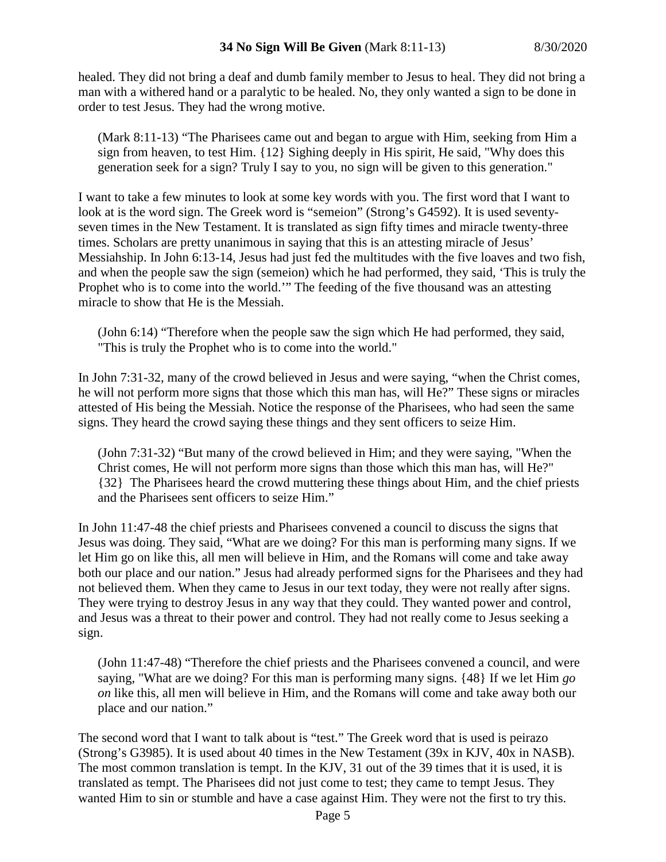healed. They did not bring a deaf and dumb family member to Jesus to heal. They did not bring a man with a withered hand or a paralytic to be healed. No, they only wanted a sign to be done in order to test Jesus. They had the wrong motive.

(Mark 8:11-13) "The Pharisees came out and began to argue with Him, seeking from Him a sign from heaven, to test Him. {12} Sighing deeply in His spirit, He said, "Why does this generation seek for a sign? Truly I say to you, no sign will be given to this generation."

I want to take a few minutes to look at some key words with you. The first word that I want to look at is the word sign. The Greek word is "semeion" (Strong's G4592). It is used seventyseven times in the New Testament. It is translated as sign fifty times and miracle twenty-three times. Scholars are pretty unanimous in saying that this is an attesting miracle of Jesus' Messiahship. In John 6:13-14, Jesus had just fed the multitudes with the five loaves and two fish, and when the people saw the sign (semeion) which he had performed, they said, 'This is truly the Prophet who is to come into the world.'" The feeding of the five thousand was an attesting miracle to show that He is the Messiah.

(John 6:14) "Therefore when the people saw the sign which He had performed, they said, "This is truly the Prophet who is to come into the world."

In John 7:31-32, many of the crowd believed in Jesus and were saying, "when the Christ comes, he will not perform more signs that those which this man has, will He?" These signs or miracles attested of His being the Messiah. Notice the response of the Pharisees, who had seen the same signs. They heard the crowd saying these things and they sent officers to seize Him.

(John 7:31-32) "But many of the crowd believed in Him; and they were saying, "When the Christ comes, He will not perform more signs than those which this man has, will He?" {32} The Pharisees heard the crowd muttering these things about Him, and the chief priests and the Pharisees sent officers to seize Him."

In John 11:47-48 the chief priests and Pharisees convened a council to discuss the signs that Jesus was doing. They said, "What are we doing? For this man is performing many signs. If we let Him go on like this, all men will believe in Him, and the Romans will come and take away both our place and our nation." Jesus had already performed signs for the Pharisees and they had not believed them. When they came to Jesus in our text today, they were not really after signs. They were trying to destroy Jesus in any way that they could. They wanted power and control, and Jesus was a threat to their power and control. They had not really come to Jesus seeking a sign.

(John 11:47-48) "Therefore the chief priests and the Pharisees convened a council, and were saying, "What are we doing? For this man is performing many signs. {48} If we let Him *go on* like this, all men will believe in Him, and the Romans will come and take away both our place and our nation."

The second word that I want to talk about is "test." The Greek word that is used is peirazo (Strong's G3985). It is used about 40 times in the New Testament (39x in KJV, 40x in NASB). The most common translation is tempt. In the KJV, 31 out of the 39 times that it is used, it is translated as tempt. The Pharisees did not just come to test; they came to tempt Jesus. They wanted Him to sin or stumble and have a case against Him. They were not the first to try this.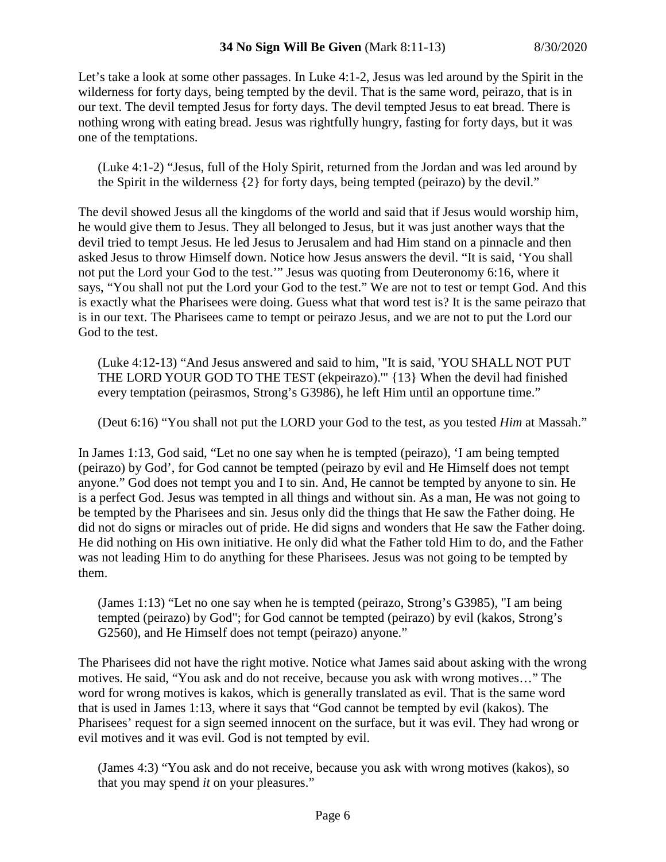Let's take a look at some other passages. In Luke 4:1-2, Jesus was led around by the Spirit in the wilderness for forty days, being tempted by the devil. That is the same word, peirazo, that is in our text. The devil tempted Jesus for forty days. The devil tempted Jesus to eat bread. There is nothing wrong with eating bread. Jesus was rightfully hungry, fasting for forty days, but it was one of the temptations.

(Luke 4:1-2) "Jesus, full of the Holy Spirit, returned from the Jordan and was led around by the Spirit in the wilderness {2} for forty days, being tempted (peirazo) by the devil."

The devil showed Jesus all the kingdoms of the world and said that if Jesus would worship him, he would give them to Jesus. They all belonged to Jesus, but it was just another ways that the devil tried to tempt Jesus. He led Jesus to Jerusalem and had Him stand on a pinnacle and then asked Jesus to throw Himself down. Notice how Jesus answers the devil. "It is said, 'You shall not put the Lord your God to the test.'" Jesus was quoting from Deuteronomy 6:16, where it says, "You shall not put the Lord your God to the test." We are not to test or tempt God. And this is exactly what the Pharisees were doing. Guess what that word test is? It is the same peirazo that is in our text. The Pharisees came to tempt or peirazo Jesus, and we are not to put the Lord our God to the test.

(Luke 4:12-13) "And Jesus answered and said to him, "It is said, 'YOU SHALL NOT PUT THE LORD YOUR GOD TO THE TEST (ekpeirazo).'" {13} When the devil had finished every temptation (peirasmos, Strong's G3986), he left Him until an opportune time."

(Deut 6:16) "You shall not put the LORD your God to the test, as you tested *Him* at Massah."

In James 1:13, God said, "Let no one say when he is tempted (peirazo), 'I am being tempted (peirazo) by God', for God cannot be tempted (peirazo by evil and He Himself does not tempt anyone." God does not tempt you and I to sin. And, He cannot be tempted by anyone to sin. He is a perfect God. Jesus was tempted in all things and without sin. As a man, He was not going to be tempted by the Pharisees and sin. Jesus only did the things that He saw the Father doing. He did not do signs or miracles out of pride. He did signs and wonders that He saw the Father doing. He did nothing on His own initiative. He only did what the Father told Him to do, and the Father was not leading Him to do anything for these Pharisees. Jesus was not going to be tempted by them.

(James 1:13) "Let no one say when he is tempted (peirazo, Strong's G3985), "I am being tempted (peirazo) by God"; for God cannot be tempted (peirazo) by evil (kakos, Strong's G2560), and He Himself does not tempt (peirazo) anyone."

The Pharisees did not have the right motive. Notice what James said about asking with the wrong motives. He said, "You ask and do not receive, because you ask with wrong motives…" The word for wrong motives is kakos, which is generally translated as evil. That is the same word that is used in James 1:13, where it says that "God cannot be tempted by evil (kakos). The Pharisees' request for a sign seemed innocent on the surface, but it was evil. They had wrong or evil motives and it was evil. God is not tempted by evil.

(James 4:3) "You ask and do not receive, because you ask with wrong motives (kakos), so that you may spend *it* on your pleasures."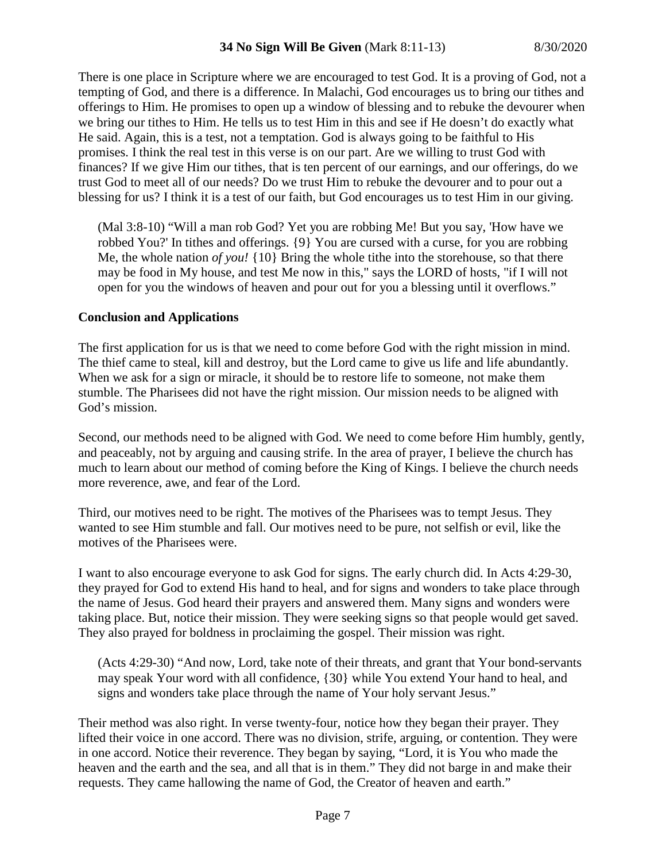There is one place in Scripture where we are encouraged to test God. It is a proving of God, not a tempting of God, and there is a difference. In Malachi, God encourages us to bring our tithes and offerings to Him. He promises to open up a window of blessing and to rebuke the devourer when we bring our tithes to Him. He tells us to test Him in this and see if He doesn't do exactly what He said. Again, this is a test, not a temptation. God is always going to be faithful to His promises. I think the real test in this verse is on our part. Are we willing to trust God with finances? If we give Him our tithes, that is ten percent of our earnings, and our offerings, do we trust God to meet all of our needs? Do we trust Him to rebuke the devourer and to pour out a blessing for us? I think it is a test of our faith, but God encourages us to test Him in our giving.

(Mal 3:8-10) "Will a man rob God? Yet you are robbing Me! But you say, 'How have we robbed You?' In tithes and offerings. {9} You are cursed with a curse, for you are robbing Me, the whole nation *of you!* {10} Bring the whole tithe into the storehouse, so that there may be food in My house, and test Me now in this," says the LORD of hosts, "if I will not open for you the windows of heaven and pour out for you a blessing until it overflows."

### **Conclusion and Applications**

The first application for us is that we need to come before God with the right mission in mind. The thief came to steal, kill and destroy, but the Lord came to give us life and life abundantly. When we ask for a sign or miracle, it should be to restore life to someone, not make them stumble. The Pharisees did not have the right mission. Our mission needs to be aligned with God's mission.

Second, our methods need to be aligned with God. We need to come before Him humbly, gently, and peaceably, not by arguing and causing strife. In the area of prayer, I believe the church has much to learn about our method of coming before the King of Kings. I believe the church needs more reverence, awe, and fear of the Lord.

Third, our motives need to be right. The motives of the Pharisees was to tempt Jesus. They wanted to see Him stumble and fall. Our motives need to be pure, not selfish or evil, like the motives of the Pharisees were.

I want to also encourage everyone to ask God for signs. The early church did. In Acts 4:29-30, they prayed for God to extend His hand to heal, and for signs and wonders to take place through the name of Jesus. God heard their prayers and answered them. Many signs and wonders were taking place. But, notice their mission. They were seeking signs so that people would get saved. They also prayed for boldness in proclaiming the gospel. Their mission was right.

(Acts 4:29-30) "And now, Lord, take note of their threats, and grant that Your bond-servants may speak Your word with all confidence, {30} while You extend Your hand to heal, and signs and wonders take place through the name of Your holy servant Jesus."

Their method was also right. In verse twenty-four, notice how they began their prayer. They lifted their voice in one accord. There was no division, strife, arguing, or contention. They were in one accord. Notice their reverence. They began by saying, "Lord, it is You who made the heaven and the earth and the sea, and all that is in them." They did not barge in and make their requests. They came hallowing the name of God, the Creator of heaven and earth."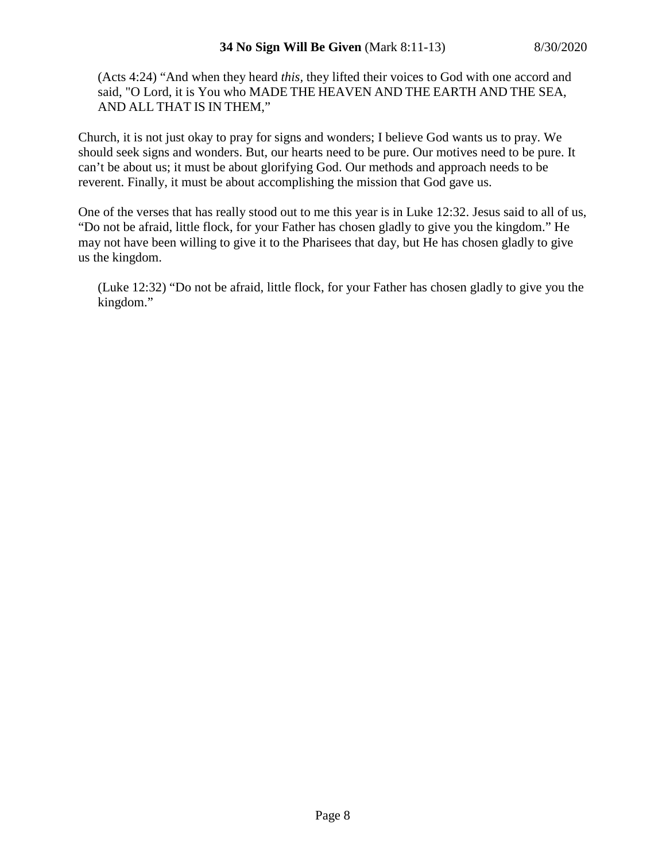(Acts 4:24) "And when they heard *this,* they lifted their voices to God with one accord and said, "O Lord, it is You who MADE THE HEAVEN AND THE EARTH AND THE SEA, AND ALL THAT IS IN THEM,"

Church, it is not just okay to pray for signs and wonders; I believe God wants us to pray. We should seek signs and wonders. But, our hearts need to be pure. Our motives need to be pure. It can't be about us; it must be about glorifying God. Our methods and approach needs to be reverent. Finally, it must be about accomplishing the mission that God gave us.

One of the verses that has really stood out to me this year is in Luke 12:32. Jesus said to all of us, "Do not be afraid, little flock, for your Father has chosen gladly to give you the kingdom." He may not have been willing to give it to the Pharisees that day, but He has chosen gladly to give us the kingdom.

(Luke 12:32) "Do not be afraid, little flock, for your Father has chosen gladly to give you the kingdom."